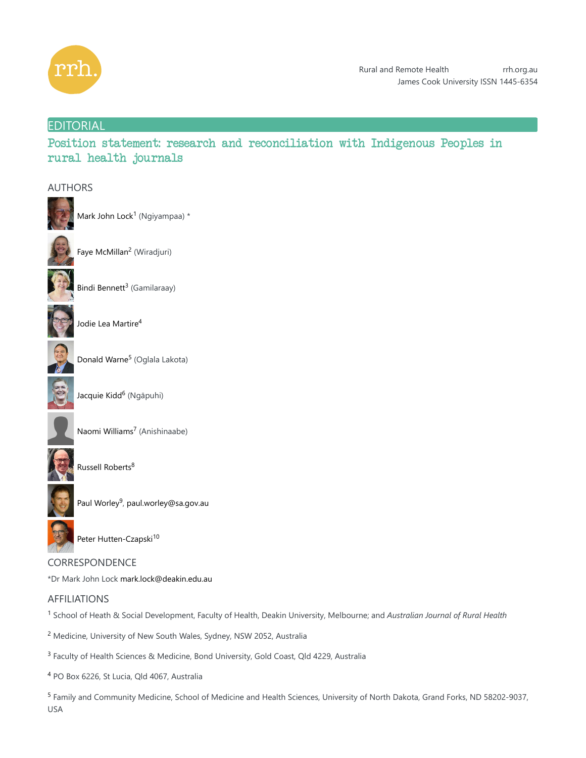

## **EDITORIAL**

Position statement: research and reconciliation with Indigenous Peoples in rural health journals

### AUTHORS



Mark John Lock<sup>1</sup> (Ngiyampaa) \*



Faye McMillan<sup>2</sup> (Wiradjuri)



Bindi Bennett<sup>3</sup> (Gamilaraay)



Jodie Lea Martire 4



Donald Warne<sup>5</sup> (Oglala Lakota)



Jacquie Kidd<sup>6</sup> (Ngāpuhi)



Naomi Williams<sup>7</sup> (Anishinaabe)



Russell Roberts 8



Paul Worley<sup>9</sup>, paul.worley@sa.gov.au



Peter Hutten-Czapski<sup>10</sup>

# CORRESPONDENCE \*Dr Mark John Lock mark.lock@deakin.edu.au

# AFFILIATIONS

<sup>1</sup> School of Heath & Social Development, Faculty of Health, Deakin University, Melbourne; and Australian Journal of Rural Health

<sup>2</sup> Medicine, University of New South Wales, Sydney, NSW 2052, Australia

<sup>3</sup> Faculty of Health Sciences & Medicine, Bond University, Gold Coast, Qld 4229, Australia

<sup>4</sup> PO Box 6226, St Lucia, Qld 4067, Australia

<sup>5</sup> Family and Community Medicine, School of Medicine and Health Sciences, University of North Dakota, Grand Forks, ND 58202-9037, USA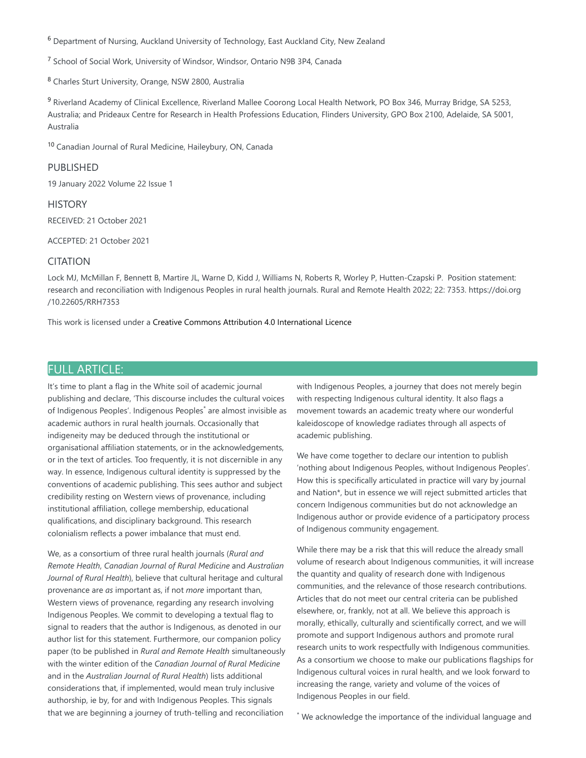<sup>6</sup> Department of Nursing, Auckland University of Technology, East Auckland City, New Zealand

<sup>7</sup> School of Social Work, University of Windsor, Windsor, Ontario N9B 3P4, Canada

<sup>8</sup> Charles Sturt University, Orange, NSW 2800, Australia

<sup>9</sup> Riverland Academy of Clinical Excellence, Riverland Mallee Coorong Local Health Network, PO Box 346, Murray Bridge, SA 5253, Australia; and Prideaux Centre for Research in Health Professions Education, Flinders University, GPO Box 2100, Adelaide, SA 5001, Australia

<sup>10</sup> Canadian Journal of Rural Medicine, Haileybury, ON, Canada

### PUBLISHED

19 January 2022 Volume 22 Issue 1

### **HISTORY**

RECEIVED: 21 October 2021

ACCEPTED: 21 October 2021

### **CITATION**

Lock MJ, McMillan F, Bennett B, Martire JL, Warne D, Kidd J, Williams N, Roberts R, Worley P, Hutten-Czapski P. Position statement: research and reconciliation with Indigenous Peoples in rural health journals. Rural and Remote Health 2022; 22: 7353. https://doi.org /10.22605/RRH7353

This work is licensed under a Creative Commons Attribution 4.0 International Licence

## FULL ARTICLE:

It's time to plant a flag in the White soil of academic journal publishing and declare, 'This discourse includes the cultural voices of Indigenous Peoples'. Indigenous Peoples<sup>\*</sup> are almost invisible as academic authors in rural health journals. Occasionally that indigeneity may be deduced through the institutional or organisational affiliation statements, or in the acknowledgements, or in the text of articles. Too frequently, it is not discernible in any way. In essence, Indigenous cultural identity is suppressed by the conventions of academic publishing. This sees author and subject credibility resting on Western views of provenance, including institutional affiliation, college membership, educational qualifications, and disciplinary background. This research colonialism reflects a power imbalance that must end.

We, as a consortium of three rural health journals (*Rural and Remote Health*, *Canadian Journal of Rural Medicine* and *Australian Journal of Rural Health*), believe that cultural heritage and cultural provenance are *as* important as, if not *more* important than, Western views of provenance, regarding any research involving Indigenous Peoples. We commit to developing a textual flag to signal to readers that the author is Indigenous, as denoted in our author list for this statement. Furthermore, our companion policy paper (to be published in *Rural and Remote Health* simultaneously with the winter edition of the *Canadian Journal of Rural Medicine* and in the *Australian Journal of Rural Health*) lists additional considerations that, if implemented, would mean truly inclusive authorship, ie by, for and with Indigenous Peoples. This signals that we are beginning a journey of truth-telling and reconciliation

with Indigenous Peoples, a journey that does not merely begin with respecting Indigenous cultural identity. It also flags a movement towards an academic treaty where our wonderful kaleidoscope of knowledge radiates through all aspects of academic publishing.

We have come together to declare our intention to publish 'nothing about Indigenous Peoples, without Indigenous Peoples'. How this is specifically articulated in practice will vary by journal and Nation\*, but in essence we will reject submitted articles that concern Indigenous communities but do not acknowledge an Indigenous author or provide evidence of a participatory process of Indigenous community engagement.

While there may be a risk that this will reduce the already small volume of research about Indigenous communities, it will increase the quantity and quality of research done with Indigenous communities, and the relevance of those research contributions. Articles that do not meet our central criteria can be published elsewhere, or, frankly, not at all. We believe this approach is morally, ethically, culturally and scientifically correct, and we will promote and support Indigenous authors and promote rural research units to work respectfully with Indigenous communities. As a consortium we choose to make our publications flagships for Indigenous cultural voices in rural health, and we look forward to increasing the range, variety and volume of the voices of Indigenous Peoples in our field.

\* We acknowledge the importance of the individual language and